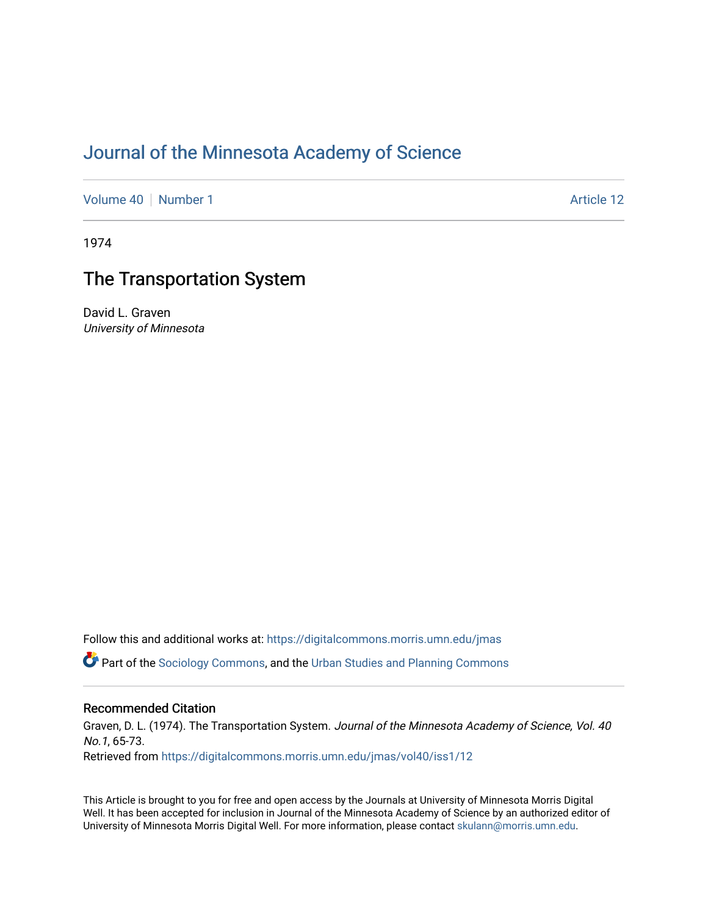# [Journal of the Minnesota Academy of Science](https://digitalcommons.morris.umn.edu/jmas)

[Volume 40](https://digitalcommons.morris.umn.edu/jmas/vol40) [Number 1](https://digitalcommons.morris.umn.edu/jmas/vol40/iss1) Article 12

1974

## The Transportation System

David L. Graven University of Minnesota

Follow this and additional works at: [https://digitalcommons.morris.umn.edu/jmas](https://digitalcommons.morris.umn.edu/jmas?utm_source=digitalcommons.morris.umn.edu%2Fjmas%2Fvol40%2Fiss1%2F12&utm_medium=PDF&utm_campaign=PDFCoverPages) 

**C** Part of the [Sociology Commons](https://network.bepress.com/hgg/discipline/416?utm_source=digitalcommons.morris.umn.edu%2Fjmas%2Fvol40%2Fiss1%2F12&utm_medium=PDF&utm_campaign=PDFCoverPages), and the [Urban Studies and Planning Commons](https://network.bepress.com/hgg/discipline/436?utm_source=digitalcommons.morris.umn.edu%2Fjmas%2Fvol40%2Fiss1%2F12&utm_medium=PDF&utm_campaign=PDFCoverPages)

### Recommended Citation

Graven, D. L. (1974). The Transportation System. Journal of the Minnesota Academy of Science, Vol. 40 No.1, 65-73. Retrieved from [https://digitalcommons.morris.umn.edu/jmas/vol40/iss1/12](https://digitalcommons.morris.umn.edu/jmas/vol40/iss1/12?utm_source=digitalcommons.morris.umn.edu%2Fjmas%2Fvol40%2Fiss1%2F12&utm_medium=PDF&utm_campaign=PDFCoverPages) 

This Article is brought to you for free and open access by the Journals at University of Minnesota Morris Digital Well. It has been accepted for inclusion in Journal of the Minnesota Academy of Science by an authorized editor of University of Minnesota Morris Digital Well. For more information, please contact [skulann@morris.umn.edu](mailto:skulann@morris.umn.edu).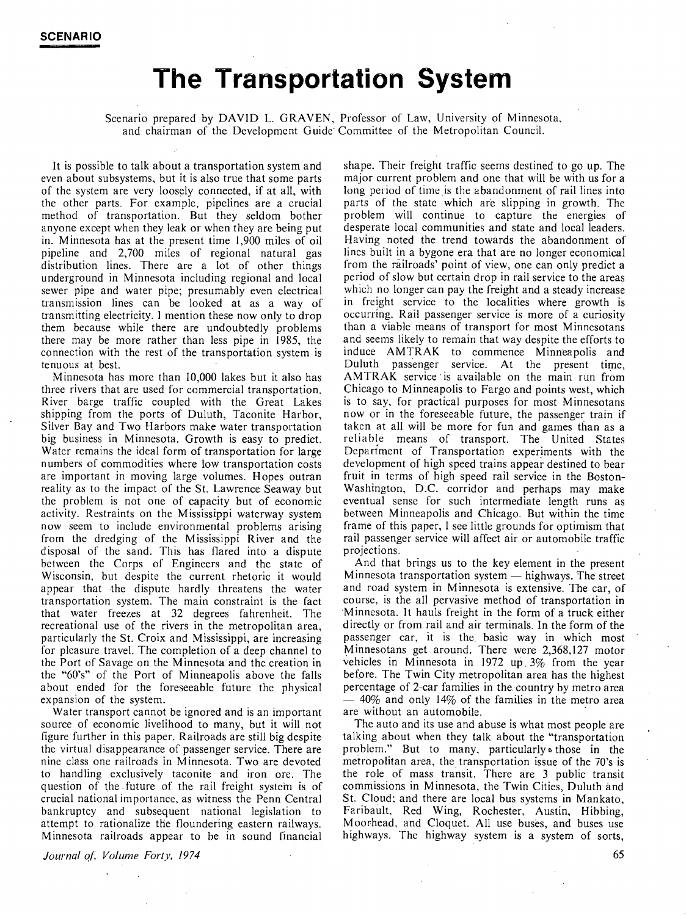# **The Transportation System**

Scenario prepared by **DAVID** L. **GRAVEN,** Professor of Law, University of Minnesota, and chairman of the Development Guide Committee of the Metropolitan Council.

It is possible to talk about a transportation system and even about subsystems, but it is also true that some parts of the system are very loosely connected, if at all, with the other parts. For example, pipelines are a crucial method of transportation. But they seldom bother anyone except when they leak or when they are being put in. Minnesota has at the present time 1,900 miles of oil pipeline and 2,700 miles of regional natural gas distribution lines. There are a lot of other things underground in Minnesota including regional and local sewer pipe and water pipe; presumably even electrical transmission lines can be looked at as a way of transmitting electricity. I mention these now only to drop them because while there are undoubtedly problems there may be more rather than less pipe in 1985, the connection with the rest of the transportation system is tenuous at\_ best.

Minnesota has more than 10,000 lakes but it also has three rivers that are used for commercial transportation. River barge traffic coupled with the Great Lakes shipping from the ports of Duluth, Taconite Harbor, Silver Bay and Two Harbors make water transportation big business in Minnesota. Growth is easy to predict. Water remains the ideal form of transportation for large numbers of commodities where low transportation costs are important in moving large volumes. Hopes outran reality as to the impact of the St. Lawrence Seaway but the problem is not one of capacity but of economic activity. Restraints on the Mississippi waterway system now seem to include environmental problems arising from the dredging of the Mississippi River and the disposal of the sand. This has flared into a dispute between the Corps of Engineers and the state of Wisconsin, but despite the current rhetoric it would appear that the dispute hardly threatens the water transportation system. The main constraint is the fact that water freezes at 32 degrees fahrenheit. The recreational use of the rivers in the metropolitan area, particularly the St. Croix and Mississippi, are increasing for pleasure travel. The completion of a deep channel to the Port of Savage on the Minnesota and the creation in the "60's" of the Port of Minneapolis above the falls about ended for the foreseeable future the physical expansion of the system.

Water transport cannot be ignored and is an important source of economic livelihood to many, but it will not figure further in this paper. Railroads are still big despite the virtual disappearance of passenger service. There are nine class one railroads in Minnesota. Two are devoted to handling exclusively taconite and iron ore. The question of the future of the rail freight system is of crucial national importance, as witness the Penn Central bankruptcy and subsequent national legislation to attempt to rationalize the floundering eastern railways. Minnesota railroads appear to be in sound financial

*Journal of: Volume Forty, 1974* 

shape. Their freight traffic seems destined to go up. The major current problem and one that will be with us for a long period of time is the abandonment of rail lines into parts of the state which are slipping in growth. The problem will continue to capture the energies of desperate local communities and state and local leaders. Having noted the trend towards the abandonment of lines built in a bygone era that are no longer economical from the railroads' point of view, one can only predict a period of slow but certain drop in rail service to the areas which no longer can pay the freight and a steady increase in freight service to the localities where growth is occurring. Rail passenger service is more of a curiosity than a viable means of transport for most Minnesotans and seems likely to remain that way despite the efforts to induce **AMTRAK** to commence Minneapolis and Duluth passenger service. At the present time, AMTRAK service· is available on the main run from Chicago to Minneapolis to Fargo and points west, which is to say, for practical purposes for most Minnesotans now or in the foreseeable future, the passenger train if taken at all will be more for fun and games than as a reliable means of transport. The United States Department of Transportation experiments with the development of high speed trains appear destined to bear fruit in terms of high speed rail service in the Boston-Washington, D.C. corridor and perhaps may make eventual sense for such intermediate length runs as between Minneapolis and Chicago. But within the time frame of this paper, I see little grounds for optimism that rail passenger service will affect air or automobile traffic projections.

And that brings us to the key element in the present Minnesota transportation system  $-$  highways. The street and road system in Minnesota is extensive. The car, of course, is the all pervasive method of transportation in Minnesota. It hauls freight in the form of a truck either directly or from rail and air terminals. In the form of the passenger car, it is the. basic way in which most Minnesotans get around. There were 2,368,127 motor vehicles in Minnesota in 1972 up. 3% from the year before. The Twin City metropolitan area has the highest percentage of 2-car families in the country by metro area - 40% and only 14% of the families in the metro area are without an automobile.

The auto and its use and abuse is what most people are talking about when they talk about the "transportation problem." But to many, particularly~ those in the metropolitan area, the transportation issue of the 70's is the role of mass transit. There are 3 public transit commissions in Minnesota, the Twin Cities, Duluth and St. Cloud: and there are local bus systems in Mankato, Faribault, Red Wing, Rochester, Austin, Hibbing, Moorhead, and Cloquet. All use buses, and buses use highways. The highway system is a system of sorts,

65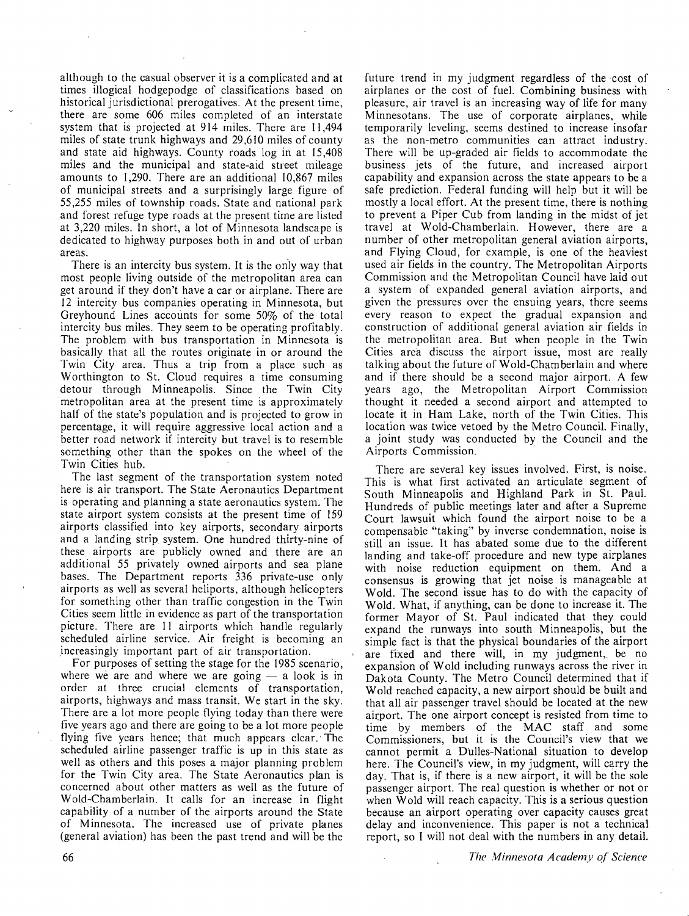although to the casual observer it is a complicated and at times illogical hodgepodge of classifications based on historical jurisdictional prerogatives. At the present time, there are some 606 miles completed of an interstate system that is projected at 914 miles. There are 11,494 miles of state trunk highways and 29,610 miles of county and state aid highways. County roads log in at 15,408 miles and the municipal and state-aid street mileage amounts to 1,290. There are an additional 10,867 miles of municipal streets and a surprisingly large figure of 55,255 miles of township roads. State and national park and forest refuge type roads at the present time are listed at 3,220 miles. In short, a lot of Minnesota landscape is dedicated to highway purposes both in and out of urban areas.

There is an intercity bus system. It is the only way that most people living outside of the metropolitan area can get around if they don't have a car or airplane. There are 12 intercity bus companies operating in Minnesota, but Greyhound Lines accounts for some 50% of the total intercity bus miles. They seem to be operating profitably. The problem with bus transportation in Minnesota is basically that all the routes originate in or around the Twin City area. Thus a trip from a place such as Worthington to St. Cloud requires a time consuming detour through Minneapolis. Since the Twin City metropolitan area at the present time is approximately half of the state's population and is projected to grow in percentage, it will require aggressive local action and a better road network if intercity but travel is to resemble something other than the spokes on the wheel of the Twin Cities hub.

The last segment of the transportation system noted here is air transport. The State Aeronautics Department is operating and planning a state aeronautics system. The state airport system consists at the present time of 159 airports classified into key airports, secondary airports and a landing strip system. One hundred thirty-nine of these airports are publicly owned and there are an additional 55 privately owned airports and sea plane bases. The Department reports 336 private-use only airports as well as several heliports, although helicopters for something other than traffic congestion in the Twin Cities seem little in evidence as part of the transportation picture. There are 11 airports which handle regularly scheduled airline service. Air freight is becoming an increasingly important part of air transportation.

For purposes of setting the stage for the 1985 scenario, where we are and where we are going  $-$  a look is in order at three crucial elements of transportation, airports, highways and mass transit. We start in the sky. There are a lot more people flying today than there were five years ago and there are going to be a lot more people flying five years hence; that much appears clear. The scheduled airline passenger traffic is up in this state as well as others and this poses a major planning problem for the Twin City area. The State Aeronautics plan is concerned about other matters as well as the future of Wold-Chamberlain. It calls for an increase in flight capability of a number of the airports around the State of Minnesota. The increased use of private planes (general aviation) has been the past trend and will be the

future trend in my judgment regardless of the ·cost of airplanes or the cost of fuel. Combining business with pleasure, air travel is an increasing way of life for many Minnesotans. The use of corporate airplanes, while temporarily leveling, seems destined to increase insofar as the non-metro communities can attract industry. There will be up-graded air fields to accommodate the business jets of the future, and increased airport capability and expansion across the state appears to be a safe prediction. Federal funding will help but it will be mostly a local effort. At the present time, there is nothing to prevent a Piper Cub from landing in the midst of jet travel at Wold-Chamberlain. However, there are a number of other metropolitan general aviation airports, and Flying Cloud, for example, is one of the heaviest used air fields in the country. The Metropolitan Airports Commission and the Metropolitan Council have laid out a system of expanded general aviation airports, and given the pressures over the ensuing years, there seems every reason to expect the gradual expansion and construction of additional general aviation air fields in the metropolitan area. But when people in the Twin Cities area discuss the airport issue, most are really talking about the future of Wold-Chamberlain and where and if there should be a second major airport. A few years ago, the Metropolitan Airport Commission thought it needed a second airport and attempted to locate it in Ham Lake, north of the Twin Cities. This location was twice vetoed by the Metro Council. Finally, a joint study was conducted by the Council and the Airports Commission.

There are several key issues involved. First, is noise. This is what first activated an articulate segment of South Minneapolis and Highland Park in St. Paul. Hundreds of public meetings later and after a Supreme Court lawsuit which found the airport noise to be a compensable "taking" by inverse condemnation, noise is still an issue. It has abated some due to the different landing and take-off procedure and new type airplanes with noise reduction equipment on them. And a consensus is growing that jet noise is manageable at Wold. The second issue has to do with the capacity of Wold. What, if anything, can be done to increase it. The former Mayor of St. Paul indicated that they could expand the runways into south Minneapolis, but the simple fact is that the physical boundaries of the airport are fixed and there will, in my judgment, be no expansion of Wold including runways across the river in Dakota County. The Metro Council determined that if Wold reached capacity, a new airport should be built and that all air passenger travel should be located at the new airport. The one airport concept is resisted from time to time by members of the MAC staff and some Commissioners, but it is the Council's view that we cannot permit a Dulles-National situation to develop here. The Council's view, in my judgment, will carry the day. That is, if there is a new airport, it will be the sole passenger airport. The real question is whether or not or when Wold will reach capacity. This is a serious question because an airport operating over capacity causes great delay and inconvenience. This paper is not a technical report, so I will not deal with the numbers in any detail.

*The Minnesota Academy of Science*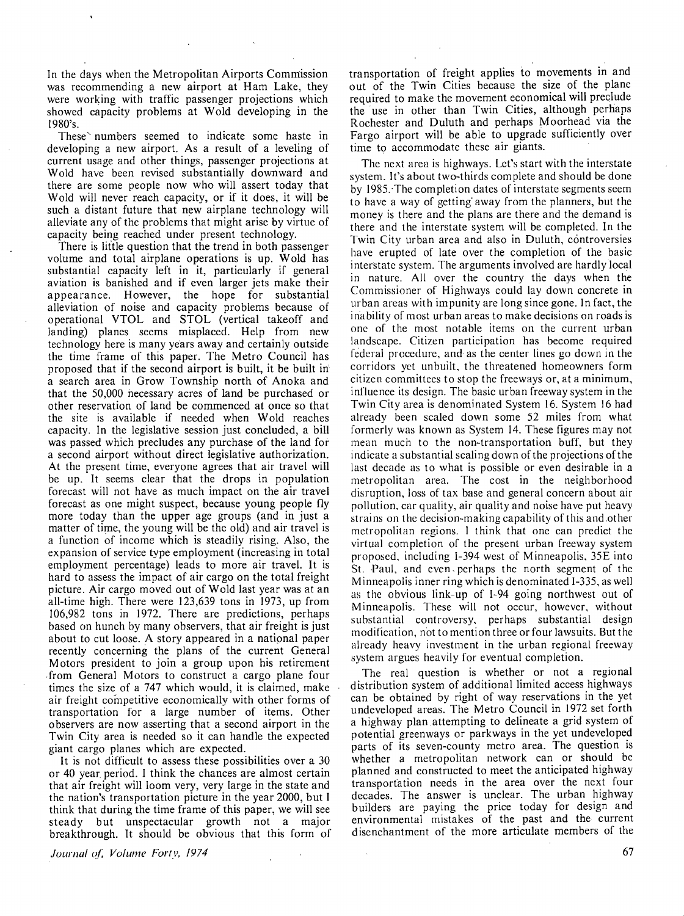In the days when the Metropolitan Airports Commission was recommending a new airport at Ham Lake, they were working with traffic passenger projections which showed capacity problems at Wold developing in the 1980's.

These numbers seemed to indicate some haste in developing a new airport. As a result of a leveling of current usage and other things, passenger projections at Wold have been revised substantially downward and there are some people now who will assert today that Wold will never reach capacity, or if it does, it will be such a distant future that new airplane technology will alleviate any of the problems that might arise by virtue of capacity being reached under present technology.

There is little question that the trend in both passenger volume and total airplane operations is up. Wold has substantial capacity left in it, particularly if general aviation is banished and if even larger jets make their appearance. However, the hope for substantial alleviation of noise and capacity problems because of operational VTOL and STOL (vertical takeoff and landing) planes seems misplaced. Help from new technology here is many years away and certainly outside the time frame of this paper. The Metro Council has proposed that if the second airport is built, it be built in a search area in Grow Township north of Anoka and that the 50,000 necessary acres of land be purchased or other reservation of land be commenced at once so that the site is available if needed when Wold reaches capacity. In the legislative session just concluded, a bill was passed which precludes any purchase of the land for a second airport without direct legislative authorization. At the present time, everyone agrees that air travel will be up. It seems clear that the drops in population forecast will not have as much impact on the air travel forecast as one might suspect, because young people fly more today than the upper age groups (and in just a matter of time, the young will be the old) and air travel is a function of income which is steadily rising. Also, the expansion of service type employment (increasing in total employment percentage) leads to more air travel. It is hard to assess the impact of air cargo on the total freight picture. Air cargo moved out of Wold last year was at an all-time high. There were 123,639 tons in 1973, up from 106,982 tons in 1972. There are predictions, perhaps based on hunch by many observers, that air freight is just about to cut loose. A story appeared in a national paper recently concerning the plans of the current General Motors president to join a group upon his retirement .from General Motors to construct a cargo plane four times the size of a 747 which would, it is claimed, make air freight competitive economically with other forms of transportation for a large number of items. Other observers are now asserting that a second airport in the Twin City area is needed so it can handle the expected giant cargo planes which are expected.

It is not difficult to assess these possibilities over a 30 or 40 year period. I think the chances are almost certain that air freight will loom very, very large in the state and the nation's transportation picture in the year 2000, but I think that during the time frame of this paper, we will see steady but unspectacular growth not a major breakthrough. It should be obvious that this form of

*Journal of, Volume Forty, 1974* 

transportation of freight applies to movements in and out of the Twin Cities because the size of the plane required to make the movement economical will preclude the use in other than Twin Cities, although perhaps Rochester and Duluth and perhaps Moorhead via the Fargo airport will be able to upgrade sufficiently over time to accommodate these air giants.

The next area is highways. Let's start with the interstate system. It's about two-thirds complete and should be done by 1985. ·The completion dates of interstate segments seem to have a way of getting· away from the planners, but the money is there and the plans are there and the demand is there and the interstate system will be completed. In the Twin City urban area and also in Duluth, controversies have erupted of late over the completion of the basic interstate system. The arguments involved are hardly local in nature. All over the country the days when the Commissioner of Highways could lay down concrete in urban areas with impunity are long since gone. In fact, the inability of most urban areas to make decisions on roads is one of the most notable items on the current urban landscape. Citizen participation has become required federal procedure, and as the center lines go down in the corridors yet unbuilt, the threatened homeowners form citizen committees to stop the freeways or, at a minimum, influence its design. The basic urban freeway system in the Twin City area is denominated System 16. System 16 had already been scaled down some 52 miles from what formerly was known as System 14. These figures may not mean much to the non-transportation buff, but they indicate a substantial scaling down of the projections of the last decade as to what is possible or even desirable in a metropolitan area. The cost in the neighborhood disruption, loss of tax base and general concern about air pollution. car quality, air quality and noise have put heavy strains on the decision-making capability of this and other metropolitan regions. I think that one can predict the virtual completion of the present urban freeway system proposed, including 1-394 west of Minneapolis, 35E into St. Paul, and even. perhaps the north segment of the Minneapolis inner ring which is denominated 1-335, as well as the obvious link-up of 1-94 going northwest out of Minneapolis. These will not occur, however, without substantial controversy, perhaps substantial design modification, not to mention three or four lawsuits. But the already heavy investment in the urban regional freeway system argues heavily for eventual completion.

The real question is whether or not a regional distribution system of additional limited access highways can be obtained by right of way reservations in the yet undeveloped areas. The Metro Council in 1972 set forth a highway plan attempting to delineate a grid system of potential greenways or parkways in the yet undeveloped parts of its seven-county metro area. The question is whether a metropolitan network can or should be planned and constructed to meet the anticipated highway transportation needs in the area over the next four decades. The answer is unclear. The urban highway builders are paying the price today for design and environmental mistakes of the past and the current disenchantment of the more articulate members of the

67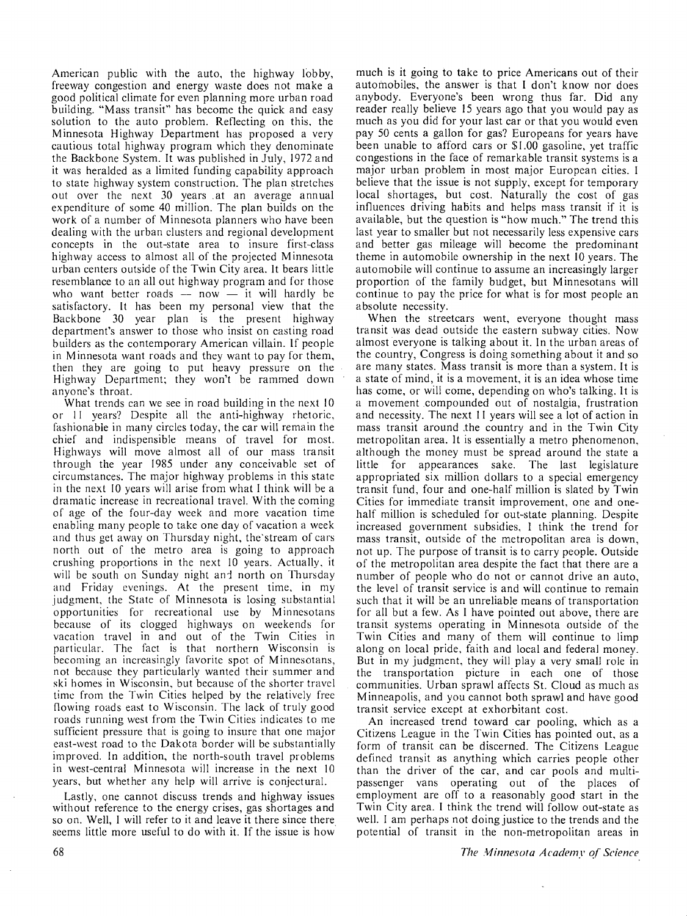American public with the auto, the highway lobby, freeway congestion and energy waste does not make a good political climate for even planning more urban road building. "Mass transit" has become the quick and easy solution to the auto problem. Reflecting on this, the Minnesota Highway Department has proposed a very cautious total highway program which they denominate the Backbone System. It was published in July, 1972 and it was heralded as a limited funding capability approach to state highway system construction. The plan stretches out over the next 30 years .at an average annual expenditure of some 40 million. The plan builds on the work of a number of Minnesota planners who have been dealing with the urban clusters and regional development concepts in the out-state area to insure first-class highway access to almost all of the projected Minnesota urban centers outside of the Twin City area. It bears little resemblance to an all out highway program and for those who want better roads  $-$  now  $-$  it will hardly be satisfactory. It has been my personal view that the Backbone 30 year plan is the present highway department's answer to those who insist on casting road builders as the contemporary American villain. If people in Minnesota want roads and they want to pay for them, then they are going to put heavy pressure on the Highway Department; they won't be rammed down anyone's throat.

What trends can we see in road building in the next 10 or 11 years? Despite all the anti-highway rhetoric, fashionable in many circles today, the car will remain the chief and indispensible means of travel for most. Highways will move almost all of our mass transit through the year 1985 under any conceivable set of circumstances. The major highway problems in this state in the next IO years will arise from what I think will be a dramatic increase in recreational travel. With the coming of age of the four-day week and more vacation time enabling many people to take one day of vacation a week and thus get away on Thursday night, the'stream of cars north out of the metro area is going to approach crushing proportions in the next 10 years. Actually, it will be south on Sunday night and north on Thursday and Friday evenings. At the present time, in my judgment, the State of Minnesota is losing substantial opportunities for recreational use by Minnesotans because of its clogged highways on weekends for vacation travel in and out of the Twin Cities in particular. The fact is that northern Wisconsin is becoming an increasingly favorite spot of Minnesotans, not because they particularly wanted their summer and ski homes in Wisconsin, but because of the shorter travel time from the Twin Cities helped by the relatively free flowing roads east to Wisconsin. The lack of truly good roads running west from the Twin Cities indicates to me sufficient pressure that is going to insure that one major east-west road to the Dakota border will be substantially improved. In addition, the north-south travel problems in west-central Minnesota will increase in the next IO years, but whether any help will arrive is conjectural.

Lastly, one cannot discuss trends and highway issues without reference to the energy crises, gas shortages and so on. Well, I will refer to it and leave it there since there seems little more useful to do with it. If the issue is how much is it going to take to price Americans out of their automobiles, the answer is that I don't know nor does anybody. Everyone's been wrong thus far. Did any reader really believe 15 years ago that you would pay as much as you did for your last car or that you would even pay 50 cents a gallon for gas? Europeans for years have been unable to afford cars or \$1.00 gasoline, yet traffic congestions in the face of remarkable transit systems is a major urban problem in most major European cities. I believe that the issue is not supply, except for temporary local shortages, but cost. Naturally the cost of gas influences driving habits and helps mass transit if it is available, but the question is "how much." The trend this last year to smaller but not necessarily less expensive cars and better gas mileage will become the predominant theme in automobile ownership in the next **10** years. The automobile will continue to assume an increasingly larger proportion of the family budget, but Minnesotans will continue to pay the price for what is for most people an absolute necessity.

When the streetcars went, everyone thought mass transit was dead outside the eastern subway cities. Now almost everyone is talking about it. In the urban areas of the country, Congress is doing something about it and so are many states. Mass transit is more than a system. It is a state of mind, it is a movement, it is an idea whose time has come, or will come, depending on who's talking. It is a movement compounded out of nostalgia, frustration and necessity. The next 11 years will see a lot of action in mass transit around .the country and in the Twin City metropolitan area. It is essentially a metro phenomenon, although the money must be spread around the state a little for appearances sake. The last legislature appropriated six million dollars to a special emergency transit fund, four and one-half million is slated by Twin Cities for immediate transit improvement, one and onehalf million is scheduled for out-state planning. Despite increased government subsidies, I think the trend for mass transit, outside of the metropolitan area is down, not up. The purpose of transit is to carry people. Outside of the metropolitan area despite the fact that there are a number of people who do not or cannot drive an auto, the level of transit service is and will continue to remain such that it will be an unreliable means of transportation for all but a few. As I have pointed out above, there are transit systems operating in Minnesota outside of the Twin Cities and many of them will continue to limp along on local pride, faith and local and federal money. But in my judgment, they will play a very small role in the transportation picture in each one of those communities. Urban sprawl affects St. Cloud as much as Minneapolis, and you cannot both sprawl and have good transit service except at exhorbitant cost.

An increased trend toward car pooling, which as a Citizens League in the Twin Cities has pointed out, as a form of transit can be discerned. The Citizens League defined transit as anything which carries people other than the driver of the car, and car pools and multipassenger vans operating out of the places of employment are off to a reasonably good start in the Twin City area. I think the trend will follow out-state as well. I am perhaps not doing justice to the trends and the potential of transit in the non-metropolitan areas in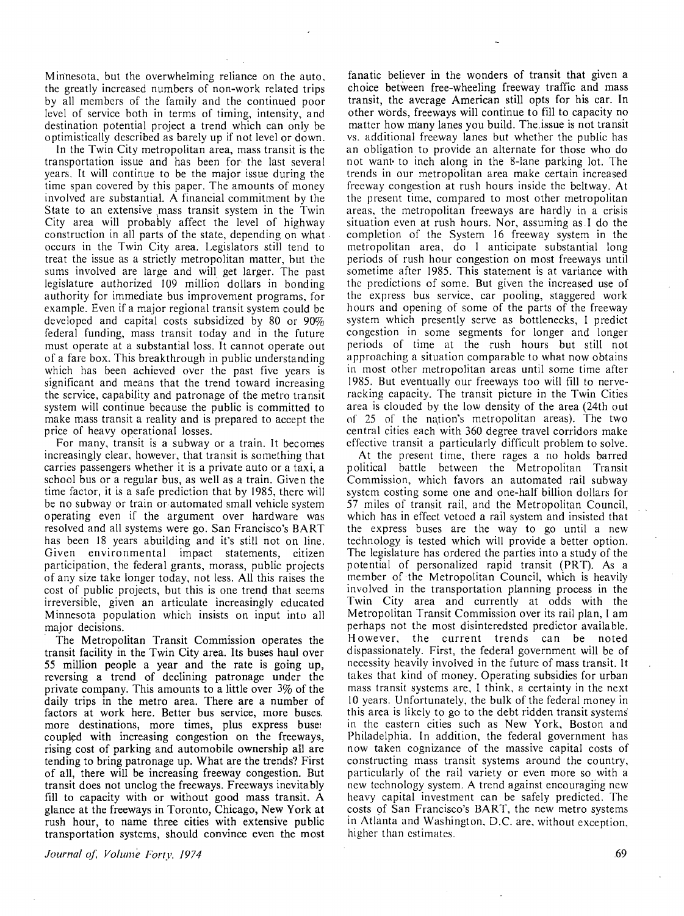Minnesota, but the overwhelming reliance on the auto, the greatly increased numbers of non-work related trips by all members of the family and the continued poor level of service both in terms of timing, intensity, and destination potential project a trend which can only be optimistically described as barely up if not level or down.

In the Twin City metropolitan area, mass transit is the transportation issue and has been for· the last several years. It will continue to be the major issue during the time span covered by this paper. The amounts of money involved are substantial. A financial commitment by the State to an extensive mass transit system in the Twin City area will probably affect the level of highway construction in all parts of the state, depending on what . occurs in the Twin City area. Legislators still tend to treat the issue as a strictly metropolitan matter, but the sums involved are large and will get larger. The past legislature authorized 109 million dollars in bonding authority for immediate bus improvement programs, for example. Even if a major regional transit system could be developed and capital costs subsidized by 80 or 90% federal funding, mass transit today and in the future must operate at a substantial loss. It cannot operate out of a fare box. This breakthrough in public understanding which has been achieved over the past five years is significant and means that the trend toward increasing the service, capability and patronage of the metro transit system will continue because the public is committed to make mass transit a reality and is prepared to accept the price of heavy operational losses.

For many, transit is a subway or a train. It becomes increasingly clear, however, that transit is something that carries passengers whether it is a private auto or a taxi, a school bus or a regular bus, as well as a train. Given the time factor, it is a safe prediction that by 1985, there will be no subway or train or automated small vehicle system operating even if the argument over hardware was resolved and all systems were go. San Francisco's BART has been 18 years abuilding and it's still not on line. Given environmental impact statements, citizen participation, the federal grants, morass, public projects of any size take longer today, not less. All this raises the cost of public projects, but this is one trend that seems irreversible, given an articulate increasingly educated Minnesota population which insists on input into all major decisions.

The Metropolitan Transit Commission operates the transit facility in the Twin City area. Its buses haul over 55 million people a year and the rate is going up, reversing a trend of declining patronage under the private company. This amounts to a little over 3% of the daily trips in the metro area. There are a number of factors at work here. Better bus service, more buses. more destinations, more times, plus express buse: coupled with increasing congestion on the freeways, rising cost of parking and automobile ownership all are tending to bring patronage up. What are the trends? First of all, there will be increasing freeway congestion. But transit does not unclog the freeways. Freeways inevitably fill to capacity with or without good mass transit. A glance at the freeways in Toronto, Chicago, New York at rush hour, to name three cities with extensive public transportation systems, should convince even the most

*Journal of; Volume Forty, 1974* 

fanatic believer in the wonders of transit that given a choice between free-wheeling freeway traffic and mass transit, the average American still opts for his car. In other words, freeways will continue to fill to capacity no matter how many lanes you build. The issue is not transit vs. additional freeway lanes but whether the public has an obligation to provide an alternate for those who do not want• to inch along in the 8-lane parking lot. The trends in our metropolitan area make certain increased freeway congestion at rush hours inside the beltway. At the present time, compared to most other metropolitan areas, the metropolitan freeways are hardly in a crisis situation even at rush hours. Nor, assuming as.I do the completion of the System 16 freeway system in the metropolitan area, do I anticipate substantial long periods of rush hour congestion on most freeways until sometime after 1985. This statement is at variance with the predictions of some. But given the increased use of the express bus service, car pooling, staggered work hours and opening of some of the parts of the freeway system which presently serve as bottlenecks, I predict congestion in some segments for longer and longer periods of time at the rush hours but still not approaching a situation comparable to what now obtains in most other metropolitan areas until some time after 1985. But eventually our freeways too will fill to nerveracking capacity. The transit picture in the Twin Cities area is clouded by the low density of the area (24th out of 25 of the nation's metropolitan areas). The two central cities each with 360 degree travel corridors make effective transit a particularly difficult problem to solve.

At the present time, there rages a no holds barred political battle between the Metropolitan Transit Commission, which favors an automated rail subway system costing some one and one-half billion dollars for 57 miles of transit rail, and the Metropolitan Council, which has in effect vetoed a rail system and insisted that the express buses are the way to go until a new technology, is tested which will provide a better option. The legislature has ordered the parties into a study of the potential of personalized rapid transit (PRT). As a member of ·the Metropolitan Council, which is heavily involved in the transportation planning process in the Twin City area and currently at odds with the Metropolitan Transit Commission over its rail plan, 1 am perhaps not the most disinteredsted predictor available. However, the current trends can be noted dispassionately. First, the federal government will be of necessity heavily involved in the future of mass transit. It takes that kind of money. Operating subsidies for urban mass transit systems are, I think, a certainty in the next IO years. Unfortunately, the bulk of the federal money in this area is likely to go to the debt ridden transit systems· in the eastern cities such as New York, Boston and Philadelphia. In addition, the federal government has now taken cognizance of the massive capital costs of constructing mass transit systems around the country, particularly of the rail variety or even more so with a new technology system. A trend against encouraging new heavy capital investment can be safely predicted. The costs of San Francisco's **BART,** the new metro systems in Atlanta and Washington, D.C. are, without exception, higher than estimates.

69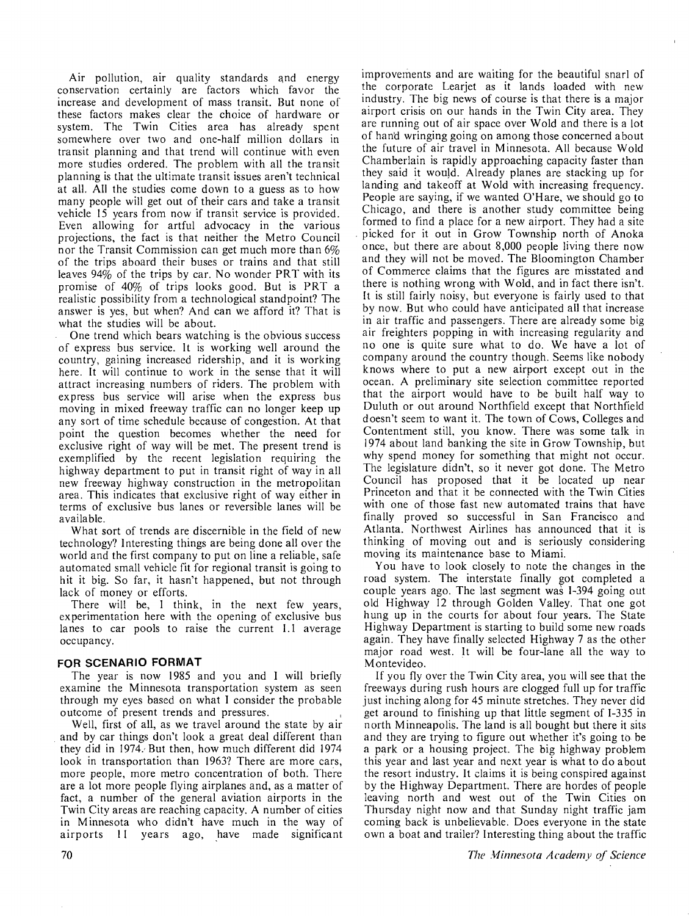Air pollution, air quality standards and energy conservation certainly are factors which favor the increase and development of mass transit. But none of these factors makes clear the choice of hardware or system. The Twin Cities area has already spent somewhere over two and one-half million dollars in transit planning and that trend will continue with even more studies ordered. The problem with all the transit planning is that the ultimate transit issues aren't technical at all. All the studies come down to a guess as to how many people will get out of their cars and take a transit vehicle 15 years from now if transit service is provided. Even allowing for artful advocacy in the various projections, the fact is that neither the Metro Council nor the Transit Commission can get much more than 6% of the trips aboard their buses or trains and that still leaves  $94\%$  of the trips by car. No wonder PRT with its promise of 40% of trips looks good. But is PRT a realistic possibility from a technological standpoint? The answer is yes, but when? And can we afford it? That is what the studies will be about.

One trend which bears watching is the obvious success of express bus service. It is working well around the country, gaining increased ridership, and it is working here. It will continue to work in the sense that it will attract increasing numbers of riders. The problem with express bus service will arise when the express bus moving in mixed freeway traffic can no longer keep up any sort of time schedule because of congestion. At that point the question becomes whether the need for exclusive right of way will be met. The present trend is exemplified by the recent legislation requiring the highway department to put in transit right of way in all new freeway highway construction in the metropolitan area. This indicates that exclusive right of way either in terms of exclusive bus lanes or reversible lanes will be available.

What sort of trends are discernible in the field of new technology? Interesting things are being done all over the world and the first company to put on line a reliable, safe automated small vehicle fit for regional transit is going to hit it big. So far, it hasn't happened, but not through lack of money or efforts.

There will be, I think, in the next few years, experimentation here with the opening of exclusive bus lanes to car pools to raise the current 1.1 average occupancy.

#### **FOR SCENARIO FORMAT**

The year is now 1985 and you and I will briefly examine the Minnesota transportation system as seen through my eyes based on what I consider the probable outcome of present trends and pressures.

Well, first of all, as we travel around the state by air and by car things don't look a great deal different than they did in 1974., But then, how much different did 1974 look in transportation than 1963? There are more cars, more people, more metro concentration of both. There are a lot more people flying airplanes and, as a matter of fact, a number of the general aviation airports in the Twin City areas are reaching capacity. A number of cities in Minnesota who didn't have much in the way of airports 11 years ago, have made significant improvernents and are waiting for the beautiful snarl of the corporate Learjet as it lands loaded with new industry. The big news of course is that there is a major airport crisis on our hands in the Twin City area. They are running out of air space over Wold and there is a lot of han'd wringing going on among those concerned a bout the future of air travel in Minnesota. All because Wold Chamberlain is rapidly approaching capacity faster than they said it would. Already planes are stacking up for landing and takeoff at Wold with increasing frequency. People are saying, if we wanted O'Hare, we should go to Chicago, and there is another study committee being formed to find a place for a new airport. They had a site . picked for it out in Grow Township north of Anoka once, but there are about 8,000 people living there now and they will not be moved. The Bloomington Chamber of Commerce claims that the figures are misstated and there is nothing wrong with Wold, and in fact there isn't. It is still fairly noisy, but everyone is fairly used to that by now. But who could have anticipated all that increase in air traffic and passengers. There are already some big air freighters popping in with increasing regularity and no one is quite sure what to do. We have a lot of company around the country though. Seems like nobody knows where to put a new airport except out in the ocean. A preliminary site selection committee reported that the airport would have to be built half way to Duluth or out around Northfield except that Northfield doesn't seem to want it. The town of Cows, Colleges and Contentment still, you know. There was some talk in 1974 about land banking the site in Grow Township, but why spend money for something that might not occur. The legislature didn't, so it never got done. The Metro Council has proposed that it be located up near Princeton and that it be connected with the Twin Cities with one of those fast new automated trains that have finally proved so successful in San Francisco and Atlanta. Northwest Airlines has announced that it is thinking of moving out and is seriously considering moving its maintenance base to Miami.

You have to look closely to note the changes in the road system. The interstate finally got completed a couple years ago. The last segment was  $1-394$  going out old Highway 12 through Golden Valley. That one got hung up in the courts for about four years. The State Highway Department is starting to build some new roads again. They have finally selected Highway 7 as the other major road west. It will be four-lane all the way to Montevideo.

If you fly over the Twin City area, you will see that the freeways during rush hours are clogged full up for traffic just inching along for 45 minute stretches. They never did get around to finishing up that little segment of I-335 in north Minneapolis. The land is all bought but there it sits and they are trying to figure out whether it's going to be a park or a housing project. The big highway problem this year and last year and next year is what to do about the resort industry. It claims it is being conspired against by the Highway Department. There are hordes of people leaving north and west out of the Twin Cities on Thursday night now and that Sunday night traffic jam coming back is unbelievable. Does everyone in the state own a boat and trailer? Interesting thing about the traffic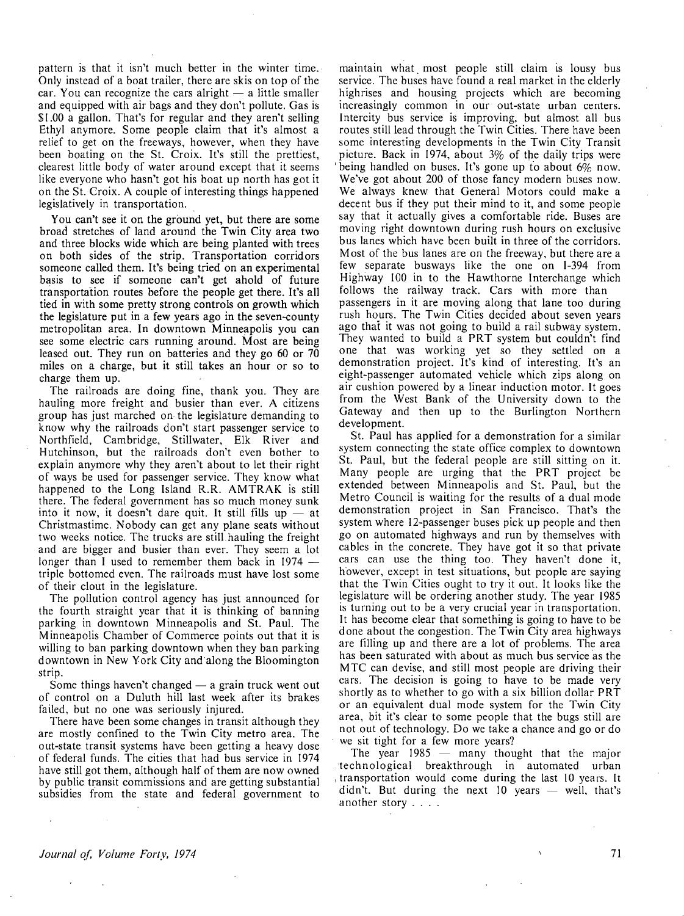pattern is that it isn't much better in the winter time. Only instead of a boat trailer, there are skis on top of the car. You can recognize the cars alright  $-$  a little smaller and equipped with air bags and they don't pollute. Gas is \$1.00 a gallon. That's for regular and they aren't selling Ethyl anymore. Some people claim that it's almost a relief to get on the freeways, however, when they have been boating on the St. Croix. It's still the prettiest, clearest little body of water around except that it seems like everyone who hasn't got his boat up north has got it on the St. Croix. A couple of interesting things happened legislatively in transportation.

You can't see it on the ground yet, but there are some broad stretches of land around the Twin City area two and three blocks wide which are being planted with trees on both sides of the strip. Transportation corridors someone called them. It's being tried on an experimental basis to see if someone can't get ahold of future transportation routes before the people get there. It's all tied in with some pretty strong controls on growth which the legislature put in a few years ago in the seven-county metropolitan area. In downtown Minneapolis you can see some electric cars running around. Most are being leased out. They run on batteries and they go 60 or 70 miles on a charge, but it still takes an hour or so to charge them up.

The railroads are doing fine, thank you. They are hauling more freight and busier than ever. A citizens group has just marched on- the legislature demanding to know why the railroads don't start passenger service to Northfield, Cambridge, Stillwater, Elk River and Hutchinson, but the railroads don't even bother to explain anymore why they aren't about to let their right of ways be used for passenger service. They know what happened to the Long Island **R.R. AMTRAK** is still there. The federal government has so much money sunk into it now, it doesn't dare quit. It still fills up  $-$  at Christmastime. Nobody can get any plane seats without two weeks notice. The trucks are still hauling the freight and are bigger and busier than ever. They seem a lot longer than I used to remember them back in 1974 – triple bottomed even. The railroads must have lost some of their clout in the legislature.

The pollution control agency has just announced for the fourth straight year that it is thinking of banning parking in downtown Minneapolis and St. Paul. The Minneapolis Chamber of Commerce points out that it is willing to ban parking downtown when they ban parking downtown in New York City and along the Bloomington strip.

Some things haven't changed  $-$  a grain truck went out of control on a Duluth hill last week after its brakes failed, but no one was seriously injured.

There have been some changes in transit although they are mostly confined to the Twin City metro area. The out-state transit systems have been getting a heavy dose of federal funds. The cities that had bus service in 1974 have still got them, although half of them are now owned by public transit commissions and are getting substantial subsidies from the state and federal government to

maintain what most people still claim is lousy bus service. The buses have found a real market in the elderly highrises and housing projects which are becoming increasingly common in our out-state urban centers. Intercity bus service is improving, but almost all bus routes still lead through the Twin Cities. There have been some interesting developments in the Twin City Transit picture. Back in 1974, about  $3\%$  of the daily trips were being handled on buses. It's gone up to about  $6\%$  now. We've got about 200 of those fancy modern buses now. We always knew that General Motors could make a decent bus if they put their mind to it, and some people say that it actually gives a comfortable ride. Buses are moving right downtown during rush hours on exclusive bus lanes which have been built in three of the corridors. Most of the bus lanes are on the freeway, but there are a few separate busways like the one on 1-394 from Highway 100 in to the Hawthorne Interchange which follows the railway track. Cars with more than passengers in it are moving along that lane too during rush hours. The Twin Cities decided about seven years ago that it was not going to build a rail subway system. They wanted to build a PRT system but couldn't find one that was working yet so they settled on a demonstration project. It's kind of interesting. It's an eight-passenger automated vehicle which zips along on air cushion powered by a linear induction motor. It goes from the West Bank of the University down to the Gateway and then up to the Burlington Northern development.

St. Paul has applied for a demonstration for a similar system connecting the state office complex to downtown St. Paul, but the federal people are still sitting on it. Many people are urging that the **PRT** project be extended between Minneapolis and St. Paul, but the Metro Council is waiting for the results of a dual mode demonstration project in San Francisco. That's the system where 12-passenger buses pick up people and then go on automated highways and run by themselves with cables in the concrete. They have got it so that private cars can use the thing too. They haven't done it, however, except in test situations, but people are saying that the Twin Cities ought to try it out. It looks like the legislature will be ordering another study. The year 1985 is turning out to be a very crucial year in transportation. It has become clear that something is going to have to be done about the congestion. The Twin City area highways are filling up and there are a lot of problems. The area has been saturated with about as much bus service as the MTC can devise, and still most people are driving their cars. The decision is going to have to be made very shortly as to whether to go with a six billion dollar PRT or an equivalent dual mode system for the Twin City area, bit it's clear to some people that the bugs still are not out of technology. Do we take a chance and go or do we sit tight for a few more years?

The year  $1985 -$  many thought that the major .·technological breakthrough in automated urban , transportation would come during the last 10 years. It didn't. But during the next 10 years  $-$  well, that's another story ....

 $\sim$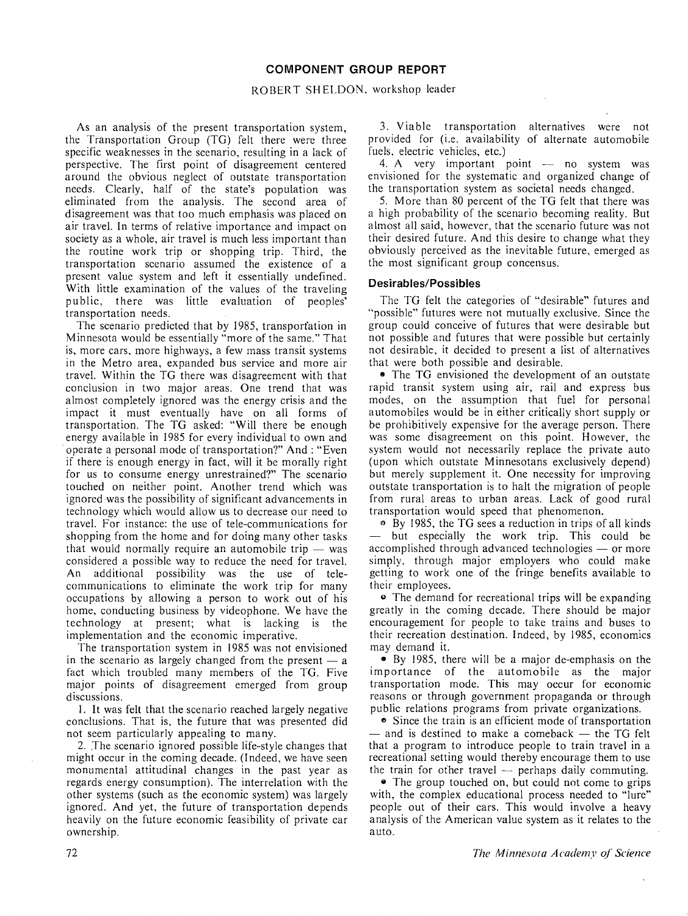#### **COMPONENT GROUP REPORT**

#### ROBERT SHELDON, workshop leader

As an analysis of the present transportation system, the Transportation Group (TG) felt there were three specific weaknesses in the scenario, resulting in a lack of perspective. The first point of disagreement centered around the obvious neglect of outstate transportation needs. Clearly, half of the state's population was eliminated from the analysis. The second area of disagreement was that too much emphasis was placed on air travel. In terms of relative importance and impact on society as a whole, air travel is much less important than the routine work trip or shopping trip. Third, the transportation scenario assumed the existence of a present value system and left it essentially undefined. With little examination of the values of the traveling public, there was little evaluation of peoples' transportation needs.

The scenario predicted that by 1985, transporfation in Minnesota would be essentially "more of the same." That is, more cars, more highways, a few mass transit systems in the Metro area, expanded bus service and more air travel. Within the TG there was disagreement with that conclusion in two major areas. One trend that was almost completely ignored was the energy crisis and the impact it must eventually have on all forms of transportation. The TG asked: "Will there be enough energy available in 1985 for every individual to own and · operate a personal mode of transportation?" And : "Even if there is enough energy in fact, will it be morally right for us to consume energy unrestrained?" The scenario touched on neither point. Another trend which was ignored was the possibility of significant advancements in technology which would allow us to decrease our need to travel. For instance: the use of tele-communications for shopping from the home and for doing many other tasks that would normally require an automobile trip  $-$  was considered a possible way to reduce the need for travel. An additional possibility was the use of telecommunications to eliminate the work trip for many occupations by allowing a person to work out of his home, conducting business by videophone. We have the technology at present; what is lacking is the implementation and the economic imperative.

The transportation system in 1985 was not envisioned in the scenario as largely changed from the present  $-$  a fact which troubled many members of the TG. Five major points of disagreement emerged from group discussions.

I. It was felt that the scenario reached largely negative conclusions. That is, the future that was presented did not seem particularly appealing to many.

2. The scenario ignored possible life-style changes that might occur in the coming decade. (Indeed, we have seen monumental attitudinal changes in the past year as regards energy consumption). The interrelation with the other systems (such as the economic system) was largely ignored. And yet, the future of transportation depends heavily on the future economic feasibility of private car ownership.

3. Viable transportation alternatives were not provided for (i.e. availability of alternate automobile fuels, electric vehicles, etc.)

4. A very important point  $-$  no system was envisioned for the systematic and organized change of the transportation system as societal needs changed.

5. More than 80 percent of the TG felt that there was a high probability of the scenario becoming reality. But almost all said, however, that the scenario future was not their desired future. And this desire to change what they obviously perceived as the inevitable future, emerged as the most significant group concensus.

## **Desirables/Possibles**

The TG felt the categories of "desirable" futures and "possible" futures were not mutually exclusive. Since the group could conceive of futures that were desirable but not possible and futures that were possible but certainly not desirable. it decided to present a list of alternatives that were both possible and desirable.

• The TG envisioned the development of an outstate rapid transit system using air, rail and express bus modes, on the assumption that fuel for personal automobiles would be in either critically short supply or be prohibitively expensive for the average person. There was some disagreement on this point. However, the system would not necessarily replace the private auto (upon which outstate Minnesotans exclusively depend) but merely supplement it. One necessity for improving outstate transportation is to halt the migration of people from rural areas to urban areas. Lack of good rural transportation would speed that phenomenon.

<sup>0</sup>By I 985, the TG sees a reduction in trips of all kinds but especially the work trip. This could be accomplished through advanced technologies  $-$  or more simply, through major employers who could make getting to work one of the fringe benefits available to their employees.

• The demand for recreational trips will be expanding greatly in the coming decade. There should be major encouragement for people to take trains and buses to their recreation destination. Indeed, by 1985, economics may demand it.

• By I 985, there will be a major de-emphasis on the importance of the automobile as the major transportation mode. This may occur for economic reasons or through government propaganda or through public relations programs from private organizations.

**c** Since the train is an efficient mode of transportation  $-$  and is destined to make a comeback  $-$  the TG felt that a program to introduce people to train travel in a recreational setting would thereby encourage them to use the train for other travel  $-$  perhaps daily commuting.

• The group touched on, but could not come to grips with, the complex educational process needed to "lure" people out of their cars. This would involve a heavy analysis of the American value system as it relates to the auto.

*The Minnesota Academy of" Science*